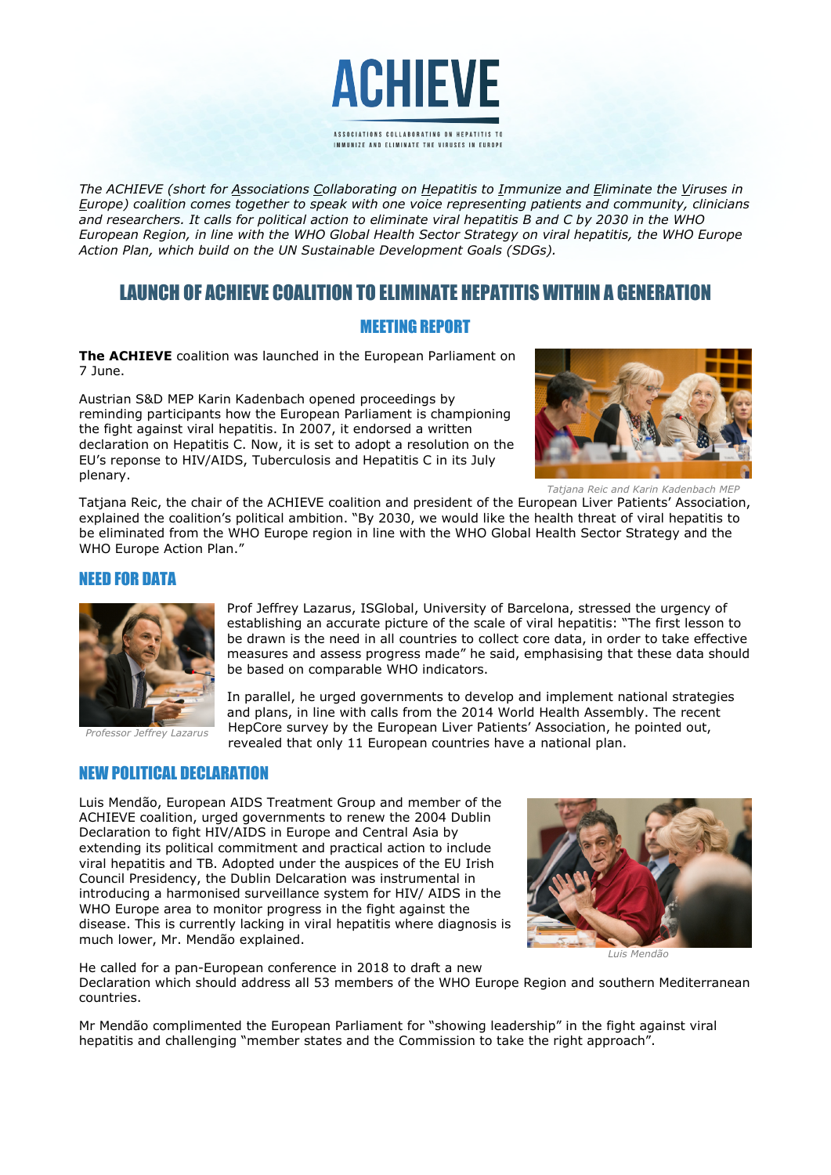

*The ACHIEVE (short for Associations Collaborating on Hepatitis to Immunize and Eliminate the Viruses in Europe) coalition comes together to speak with one voice representing patients and community, clinicians and researchers. It calls for political action to eliminate viral hepatitis B and C by 2030 in the WHO European Region, in line with the WHO Global Health Sector Strategy on viral hepatitis, the WHO Europe Action Plan, which build on the UN Sustainable Development Goals (SDGs).* 

# LAUNCH OF ACHIEVE COALITION TO ELIMINATE HEPATITIS WITHIN A GENERATION

# MEETING REPORT

**The ACHIEVE** coalition was launched in the European Parliament on 7 June.

Austrian S&D MEP Karin Kadenbach opened proceedings by reminding participants how the European Parliament is championing the fight against viral hepatitis. In 2007, it endorsed a written declaration on Hepatitis C. Now, it is set to adopt a resolution on the EU's reponse to HIV/AIDS, Tuberculosis and Hepatitis C in its July plenary.



*Tatjana Reic and Karin Kadenbach MEP*

Tatjana Reic, the chair of the ACHIEVE coalition and president of the European Liver Patients' Association, explained the coalition's political ambition. "By 2030, we would like the health threat of viral hepatitis to be eliminated from the WHO Europe region in line with the WHO Global Health Sector Strategy and the WHO Europe Action Plan."

#### NEED FOR DATA



*Professor Jeffrey Lazarus*

Prof Jeffrey Lazarus, ISGlobal, University of Barcelona, stressed the urgency of establishing an accurate picture of the scale of viral hepatitis: "The first lesson to be drawn is the need in all countries to collect core data, in order to take effective measures and assess progress made" he said, emphasising that these data should be based on comparable WHO indicators.

In parallel, he urged governments to develop and implement national strategies and plans, in line with calls from the 2014 World Health Assembly. The recent HepCore survey by the European Liver Patients' Association, he pointed out, revealed that only 11 European countries have a national plan.

## NEW POLITICAL DECLARATION

Luis Mendão, European AIDS Treatment Group and member of the ACHIEVE coalition, urged governments to renew the 2004 Dublin Declaration to fight HIV/AIDS in Europe and Central Asia by extending its political commitment and practical action to include viral hepatitis and TB. Adopted under the auspices of the EU Irish Council Presidency, the Dublin Delcaration was instrumental in introducing a harmonised surveillance system for HIV/ AIDS in the WHO Europe area to monitor progress in the fight against the disease. This is currently lacking in viral hepatitis where diagnosis is much lower, Mr. Mendão explained.



*Luis Mendão*

He called for a pan-European conference in 2018 to draft a new Declaration which should address all 53 members of the WHO Europe Region and southern Mediterranean countries.

Mr Mendão complimented the European Parliament for "showing leadership" in the fight against viral hepatitis and challenging "member states and the Commission to take the right approach".